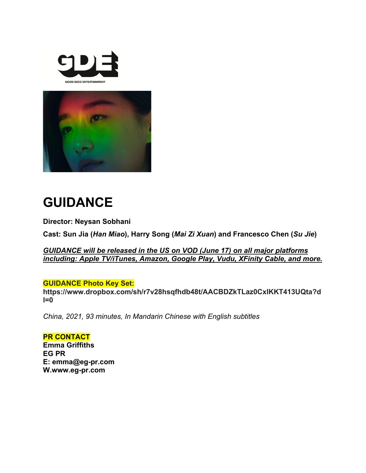



# **GUIDANCE**

**Director: Neysan Sobhani**

**Cast: Sun Jia (***Han Miao***), Harry Song (***Mai Zi Xuan***) and Francesco Chen (***Su Jie***)**

*GUIDANCE will be released in the US on VOD (June 17) on all major platforms including: Apple TV/iTunes, Amazon, Google Play, Vudu, XFinity Cable, and more.*

# **GUIDANCE Photo Key Set:**

**https://www.dropbox.com/sh/r7v28hsqfhdb48t/AACBDZkTLaz0CxIKKT413UQta?d l=0**

*China, 2021, 93 minutes, In Mandarin Chinese with English subtitles*

**PR CONTACT Emma Griffiths EG PR E: emma@eg-pr.com W.www.eg-pr.com**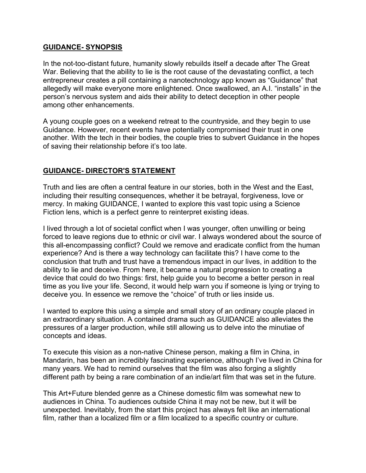#### **GUIDANCE- SYNOPSIS**

In the not-too-distant future, humanity slowly rebuilds itself a decade after The Great War. Believing that the ability to lie is the root cause of the devastating conflict, a tech entrepreneur creates a pill containing a nanotechnology app known as "Guidance" that allegedly will make everyone more enlightened. Once swallowed, an A.I. "installs" in the person's nervous system and aids their ability to detect deception in other people among other enhancements.

A young couple goes on a weekend retreat to the countryside, and they begin to use Guidance. However, recent events have potentially compromised their trust in one another. With the tech in their bodies, the couple tries to subvert Guidance in the hopes of saving their relationship before it's too late.

# **GUIDANCE- DIRECTOR'S STATEMENT**

Truth and lies are often a central feature in our stories, both in the West and the East, including their resulting consequences, whether it be betrayal, forgiveness, love or mercy. In making GUIDANCE, I wanted to explore this vast topic using a Science Fiction lens, which is a perfect genre to reinterpret existing ideas.

I lived through a lot of societal conflict when I was younger, often unwilling or being forced to leave regions due to ethnic or civil war. I always wondered about the source of this all-encompassing conflict? Could we remove and eradicate conflict from the human experience? And is there a way technology can facilitate this? I have come to the conclusion that truth and trust have a tremendous impact in our lives, in addition to the ability to lie and deceive. From here, it became a natural progression to creating a device that could do two things: first, help guide you to become a better person in real time as you live your life. Second, it would help warn you if someone is lying or trying to deceive you. In essence we remove the "choice" of truth or lies inside us.

I wanted to explore this using a simple and small story of an ordinary couple placed in an extraordinary situation. A contained drama such as GUIDANCE also alleviates the pressures of a larger production, while still allowing us to delve into the minutiae of concepts and ideas.

To execute this vision as a non-native Chinese person, making a film in China, in Mandarin, has been an incredibly fascinating experience, although I've lived in China for many years. We had to remind ourselves that the film was also forging a slightly different path by being a rare combination of an indie/art film that was set in the future.

This Art+Future blended genre as a Chinese domestic film was somewhat new to audiences in China. To audiences outside China it may not be new, but it will be unexpected. Inevitably, from the start this project has always felt like an international film, rather than a localized film or a film localized to a specific country or culture.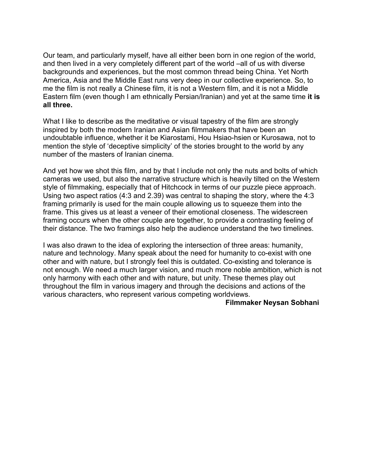Our team, and particularly myself, have all either been born in one region of the world, and then lived in a very completely different part of the world –all of us with diverse backgrounds and experiences, but the most common thread being China. Yet North America, Asia and the Middle East runs very deep in our collective experience. So, to me the film is not really a Chinese film, it is not a Western film, and it is not a Middle Eastern film (even though I am ethnically Persian/Iranian) and yet at the same time **it is all three.**

What I like to describe as the meditative or visual tapestry of the film are strongly inspired by both the modern Iranian and Asian filmmakers that have been an undoubtable influence, whether it be Kiarostami, Hou Hsiao-hsien or Kurosawa, not to mention the style of 'deceptive simplicity' of the stories brought to the world by any number of the masters of Iranian cinema.

And yet how we shot this film, and by that I include not only the nuts and bolts of which cameras we used, but also the narrative structure which is heavily tilted on the Western style of filmmaking, especially that of Hitchcock in terms of our puzzle piece approach. Using two aspect ratios (4:3 and 2.39) was central to shaping the story, where the 4:3 framing primarily is used for the main couple allowing us to squeeze them into the frame. This gives us at least a veneer of their emotional closeness. The widescreen framing occurs when the other couple are together, to provide a contrasting feeling of their distance. The two framings also help the audience understand the two timelines.

I was also drawn to the idea of exploring the intersection of three areas: humanity, nature and technology. Many speak about the need for humanity to co-exist with one other and with nature, but I strongly feel this is outdated. Co-existing and tolerance is not enough. We need a much larger vision, and much more noble ambition, which is not only harmony with each other and with nature, but unity. These themes play out throughout the film in various imagery and through the decisions and actions of the various characters, who represent various competing worldviews.

#### **Filmmaker Neysan Sobhani**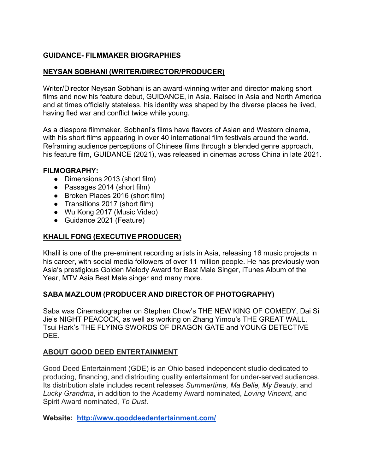# **GUIDANCE- FILMMAKER BIOGRAPHIES**

# **NEYSAN SOBHANI (WRITER/DIRECTOR/PRODUCER)**

Writer/Director Neysan Sobhani is an award-winning writer and director making short films and now his feature debut, GUIDANCE, in Asia. Raised in Asia and North America and at times officially stateless, his identity was shaped by the diverse places he lived, having fled war and conflict twice while young.

As a diaspora filmmaker, Sobhani's films have flavors of Asian and Western cinema, with his short films appearing in over 40 international film festivals around the world. Reframing audience perceptions of Chinese films through a blended genre approach, his feature film, GUIDANCE (2021), was released in cinemas across China in late 2021.

#### **FILMOGRAPHY:**

- Dimensions 2013 (short film)
- Passages 2014 (short film)
- Broken Places 2016 (short film)
- Transitions 2017 (short film)
- Wu Kong 2017 (Music Video)
- Guidance 2021 (Feature)

# **KHALIL FONG (EXECUTIVE PRODUCER)**

Khalil is one of the pre-eminent recording artists in Asia, releasing 16 music projects in his career, with social media followers of over 11 million people. He has previously won Asia's prestigious Golden Melody Award for Best Male Singer, iTunes Album of the Year, MTV Asia Best Male singer and many more.

# **SABA MAZLOUM (PRODUCER AND DIRECTOR OF PHOTOGRAPHY)**

Saba was Cinematographer on Stephen Chow's THE NEW KING OF COMEDY, Dai Si Jie's NIGHT PEACOCK, as well as working on Zhang Yimou's THE GREAT WALL, Tsui Hark's THE FLYING SWORDS OF DRAGON GATE and YOUNG DETECTIVE DEE.

# **ABOUT GOOD DEED ENTERTAINMENT**

Good Deed Entertainment (GDE) is an Ohio based independent studio dedicated to producing, financing, and distributing quality entertainment for under-served audiences. Its distribution slate includes recent releases *Summertime, Ma Belle, My Beauty*, and *Lucky Grandma*, in addition to the Academy Award nominated, *Loving Vincent*, and Spirit Award nominated, *To Dust*.

**Website: http://www.gooddeedentertainment.com/**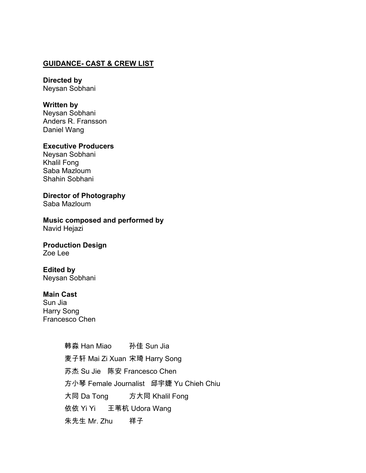#### **GUIDANCE- CAST & CREW LIST**

**Directed by**  Neysan Sobhani

#### **Written by**

Neysan Sobhani Anders R. Fransson Daniel Wang

# **Executive Producers**

Neysan Sobhani Khalil Fong Saba Mazloum Shahin Sobhani

**Director of Photography** Saba Mazloum

**Music composed and performed by** Navid Hejazi

**Production Design** Zoe Lee

#### **Edited by**

Neysan Sobhani

# **Main Cast**

Sun Jia Harry Song Francesco Chen

> 韩淼 Han Miao 孙佳 Sun Jia 麦子轩 Mai Zi Xuan 宋琦 Harry Song 苏杰 Su Jie 陈安 Francesco Chen 方小琴 Female Journalist 邱宇婕 Yu Chieh Chiu 大同 Da Tong 方大同 Khalil Fong 依依 Yi Yi 王苇杭 Udora Wang YZ[ '6\#2B- ]0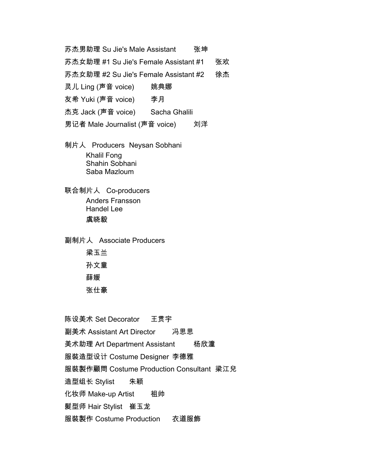苏杰男助理 Su Jie's Male Assistant 张坤

苏杰女助理 #1 Su Jie's Female Assistant #1 张欢

苏杰女助理 #2 Su Jie's Female Assistant #2 徐杰

姚典娜 灵儿 Ling (声音 voice)

李月 友希 Yuki (声音 voice)

杰克 Jack (声音 voice) Sacha Ghalili

男记者 Male Journalist (声音 voice) 刘洋

- 制片人 Producers Neysan Sobhani **Khalil Fong** Shahin Sobhani Saba Mazloum
- 联合制片人 Co-producers **Anders Fransson Handel Lee** 虞晓毅

副制片人 Associate Producers 梁玉兰 孙文童 薛媛 张仕豪

陈设美术 Set Decorator 王贯宇 副美术 Assistant Art Director 冯思思 美术助理 Art Department Assistant 杨欣潼 服裝造型设计 Costume Designer 李德雅 服裝製作顧問 Costume Production Consultant 梁江兒 朱颖 造型组长 Stylist 化妆师 Make-up Artist 相帅 髮型师 Hair Stylist 崔玉龙 服裝製作 Costume Production 衣道服飾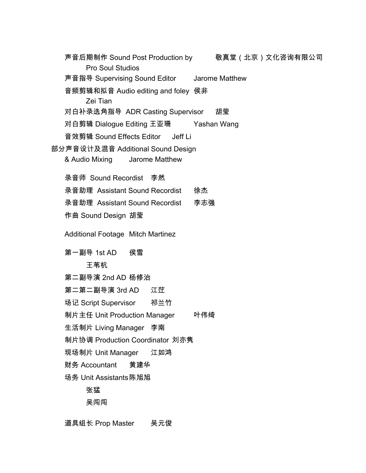声音后期制作 Sound Post Production by 敬真堂(北京)文化咨询有限公司 Pro Soul Studios 声音指导 Supervising Sound Editor Jarome Matthew 音频剪辑和拟音 Audio editing and foley 侯非 Zei Tian 对白补录选角指导 ADR Casting Supervisor 胡莹 对白剪辑 Dialogue Editing 王亚珊 Yashan Wang 音效剪辑 Sound Effects Editor Jeff Li 部分声音设计及混音 Additional Sound Design & Audio Mixing Jarome Matthew 录音师 Sound Recordist 李然 录音助理 Assistant Sound Recordist 徐杰 录音助理 Assistant Sound Recordist 李志强 作曲 Sound Design 胡莹 **Additional Footage Mitch Martinez** 第一副导 1st AD 侯雪 王苇杭 第二副导演 2nd AD 杨修治 第二第二副导演 3rd AD 江茫 场记 Script Supervisor 祁兰竹 制片主任 Unit Production Manager 叶伟绮 生活制片 Living Manager 李南 制片协调 Production Coordinator 刘亦隽 江如鸿 现场制片 Unit Manager 财务 Accountant 黄建华 场务 Unit Assistants 陈旭旭 张猛 吴闯闯

道具组长 Prop Master 吴元俊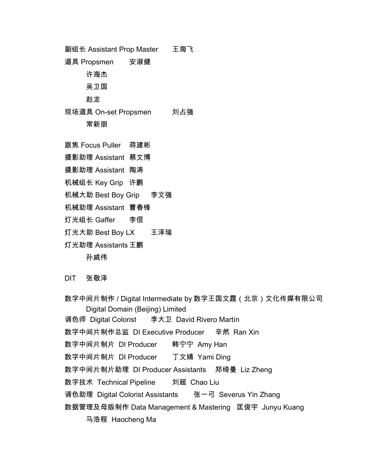副组长 Assistant Prop Master 王海飞 道具 Propsmen 安淑健 许海杰 吴卫国 赵龙 现场道具 On-set Propsmen 刘占强 常新朋

- 跟焦 Focus Puller 蒋建彬
- 摄影助理 Assistant 蔡文博
- 摄影助理 Assistant 陶涛
- 机械组长 Key Grip 许鹏
- 机械大助 Best Boy Grip 李文强
- 机械助理 Assistant 曹春锋
- 灯光组长 Gaffer 李信
- 灯光大助 Best Boy LX 王泽瑞
- 灯光助理 Assistants 王鹏

孙威伟

**DIT** 张敬泽

数字中间片制作 / Digital Intermediate by 数字王国文霆 ( 北京 ) 文化传媒有限公司 Digital Domain (Beijing) Limited 调色师 Digital Colorist 李大卫 David Rivero Martín 数字中间片制作总监 DI Executive Producer 辛然 Ran Xin 数字中间片制片 DI Producer 韩宁宁 Amy Han 数字中间片制片 DI Producer 丁文婧 Yami Ding 数字中间片制片助理 DI Producer Assistants 郑绮曼 Liz Zheng 刘超 Chao Liu 数字技术 Technical Pipeline 调色助理 Digital Colorist Assistants 张一弓 Severus Yin Zhang 数据管理及母版制作 Data Management & Mastering 匡俊宇 Junyu Kuang 马浩程 Haocheng Ma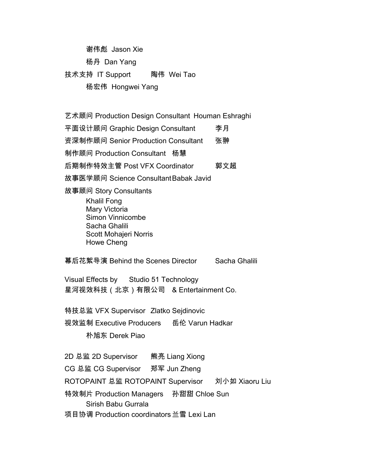谢伟彪 Jason Xie 杨丹 Dan Yang 技术支持 IT Support 陶伟 Wei Tao 杨宏伟 Hongwei Yang

艺术顾问 Production Design Consultant Houman Eshraghi 平面设计顾问 Graphic Design Consultant 李月 资深制作顾问 Senior Production Consultant 张翀 制作顾问 Production Consultant 杨慧 后期制作特效主管 Post VFX Coordinator 郭文超 故事医学顾问 Science Consultant Babak Javid 故事顾问 Story Consultants **Khalil Fong** Mary Victoria Simon Vinnicombe Sacha Ghalili Scott Mohajeri Norris Howe Cheng 幕后花絮导演 Behind the Scenes Director Sacha Ghalili Visual Effects by Studio 51 Technology 星河视效科技(北京)有限公司 & Entertainment Co. 特技总监 VFX Supervisor Zlatko Sejdinovic 视效监制 Executive Producers 岳伦 Varun Hadkar 朴旭东 Derek Piao 2D 总监 2D Supervisor 熊亮 Liang Xiong CG 总监 CG Supervisor 郑军 Jun Zheng ROTOPAINT 总监 ROTOPAINT Supervisor 刘小如 Xiaoru Liu 特效制片 Production Managers 孙甜甜 Chloe Sun Sirish Babu Gurrala

项目协调 Production coordinators 兰雪 Lexi Lan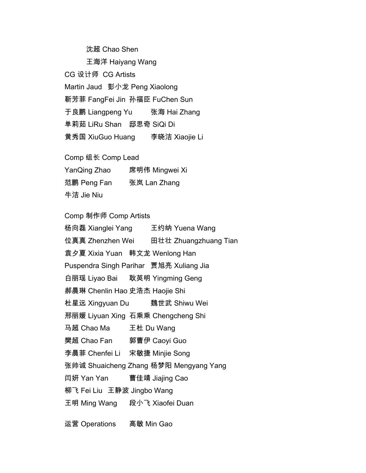沈超 Chao Shen 王海洋 Haiyang Wang CG 设计师 CG Artists Martin Jaud 彭小龙 Peng Xiaolong 靳芳菲 FangFei Jin 孙福臣 FuChen Sun 于良鹏 Liangpeng Yu 张海 Hai Zhang 单莉茹 LiRu Shan 邸思奇 SiQi Di 黄秀国 XiuGuo Huang 李晓洁 Xiaojie Li

Comp 组长 Comp Lead

YanQing Zhao 席明伟 Mingwei Xi

范鹏 Peng Fan 张岚 Lan Zhang

牛洁 Jie Niu

Comp 制作师 Comp Artists

杨向磊 Xianglei Yang 王约纳 Yuena Wang 位真真 Zhenzhen Wei 田壮壮 Zhuangzhuang Tian 袁夕夏 Xixia Yuan 韩文龙 Wenlong Han Puspendra Singh Parihar 贾旭亮 Xuliang Jia 白丽瑶 Liyao Bai 耿英明 Yingming Geng 郝晨琳 Chenlin Hao 史浩杰 Haojie Shi 杜星远 Xingyuan Du 魏世武 Shiwu Wei 邢丽媛 Liyuan Xing 石乘乘 Chengcheng Shi 马超 Chao Ma 王杜 Du Wang 樊超 Chao Fan 郭曹伊 Caoyi Guo 李晨菲 Chenfei Li 宋敏捷 Minjie Song 张帅诚 Shuaicheng Zhang 杨梦阳 Mengyang Yang 闫妍 Yan Yan 曹佳靖 Jiajing Cao 柳飞 Fei Liu 王静波 Jingbo Wang 王明 Ming Wang 段小飞 Xiaofei Duan

运营 Operations 高敏 Min Gao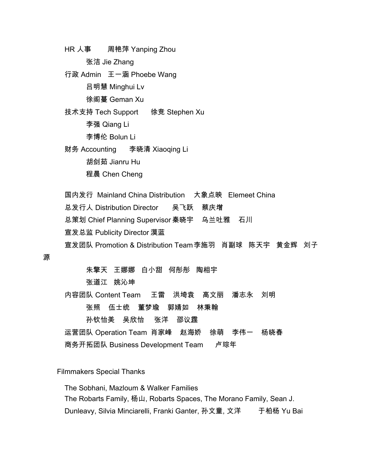$HR \downarrow \bar{\pmb{\ast}}$ 周艳萍 Yanping Zhou

张洁 Jie Zhang

行政 Admin 王一涵 Phoebe Wang 吕明慧 Minghui Lv 徐阁蔓 Geman Xu

技术支持 Tech Support 徐竞 Stephen Xu 李强 Qiang Li 李博伦 Bolun Li

财务 Accounting 李晓清 Xiaoging Li 胡剑茹 Jianru Hu 程晨 Chen Cheng

国内发行 Mainland China Distribution 大象点映 Elemeet China

总发行人 Distribution Director 吴飞跃 蔡庆增

总策划 Chief Planning Supervisor 秦晓宇 \_ 乌兰吐雅 \_ 石川

宣发总监 Publicity Director 漠蓝

宣发团队 Promotion & Distribution Team李施羽 肖副球 陈天宇 黄金辉 刘子

源

朱擎天 王娜娜 白小甜 何彤彤 陶相宇

张道江 姚沁坤

内容团队 Content Team 王雷 洪埼袁 高文丽 潘志永 刘明

> 张照 伍士统 董梦瑜 郭婧如 林秉翰

孙钦怡美 吴欣怡 张洋 邵议霆

运营团队 Operation Team 肖家峰 赵海娇 徐萌 李伟一 杨晓春

商务开拓团队 Business Development Team 卢琮年

**Filmmakers Special Thanks** 

The Sobhani, Mazloum & Walker Families The Robarts Family, 杨山, Robarts Spaces, The Morano Family, Sean J. Dunleavy, Silvia Minciarelli, Franki Ganter, 孙文童, 文洋 于柏杨 Yu Bai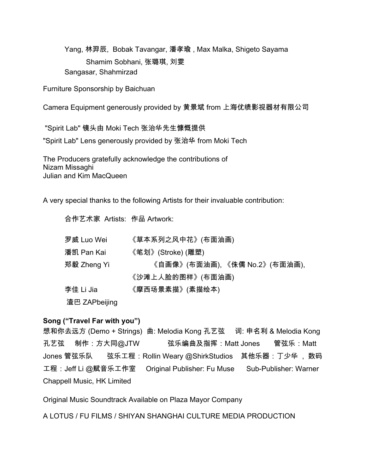Yang, 林羿辰, Bobak Tavangar, 潘孝瑜, Max Malka, Shigeto Sayama Shamim Sobhani, 张璐琪, 刘雯 Sangasar, Shahmirzad

Furniture Sponsorship by Baichuan

Camera Equipment generously provided by 黄景斌 from 上海优绩影视器材有限公司

"Spirit Lab" 镜头由 Moki Tech 张治华先生慷慨提供

"Spirit Lab" Lens generously provided by 张治华 from Moki Tech

The Producers gratefully acknowledge the contributions of Nizam Missaghi Julian and Kim MacQueen

A very special thanks to the following Artists for their invaluable contribution:

合作艺术家 Artists: 作品 Artwork:

| 罗威 Luo Wei    | 《草本系列之风中花》(布面油画)              |
|---------------|-------------------------------|
| 潘凯 Pan Kai    | 《笔划》(Stroke) (雕塑)             |
| 郑毅 Zheng Yi   | 《自画像》(布面油画), 《侏儒 No.2》(布面油画), |
|               | 《沙滩上人脸的图样》(布面油画)              |
| 李佳 Li Jia     | 《摩西场景素描》(素描绘本)                |
| 渣巴 ZAPbeijing |                               |

#### Song ("Travel Far with you")

想和你去远方 (Demo + Strings) 曲: Melodia Kong 孔艺弦 词: 申名利 & Melodia Kong 弦乐编曲及指挥:Matt Jones 孔艺弦 制作:方大同@JTW 管弦乐:Matt Jones 管弦乐队 弦乐工程:Rollin Weary @ShirkStudios 其他乐器:丁少华 ,数码 工程:Jeff Li @赋音乐工作室 Original Publisher: Fu Muse Sub-Publisher: Warner **Chappell Music, HK Limited** 

Original Music Soundtrack Available on Plaza Mayor Company

A LOTUS / FU FILMS / SHIYAN SHANGHAI CULTURE MEDIA PRODUCTION